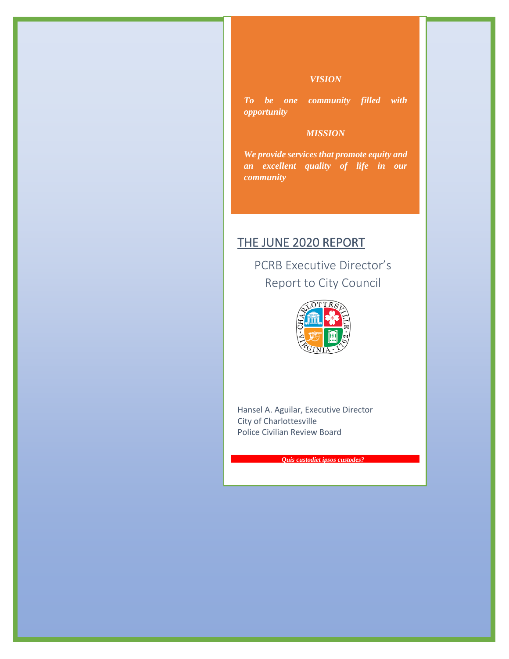### *VISION*

*To be one community filled with opportunity*

## *MISSION*

*We provide services that promote equity and an excellent quality of life in our community*

# THE JUNE 2020 REPORT

PCRB Executive Director's Report to City Council



Hansel A. Aguilar, Executive Director City of Charlottesville Police Civilian Review Board

*Quis custodiet ipsos custodes?*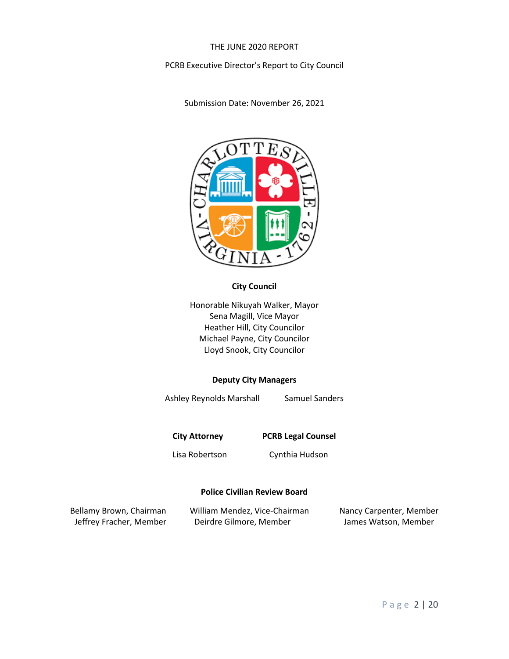#### THE JUNE 2020 REPORT

#### PCRB Executive Director's Report to City Council

Submission Date: November 26, 2021



### **City Council**

Honorable Nikuyah Walker, Mayor Sena Magill, Vice Mayor Heather Hill, City Councilor Michael Payne, City Councilor Lloyd Snook, City Councilor

#### **Deputy City Managers**

Ashley Reynolds Marshall Samuel Sanders

**City Attorney PCRB Legal Counsel**

Lisa Robertson Cynthia Hudson

#### **Police Civilian Review Board**

| Bellamy Brown, Chairman | William Mendez, Vice-Chairman | Nancy Carpenter, Member |
|-------------------------|-------------------------------|-------------------------|
| Jeffrey Fracher, Member | Deirdre Gilmore, Member       | James Watson, Member    |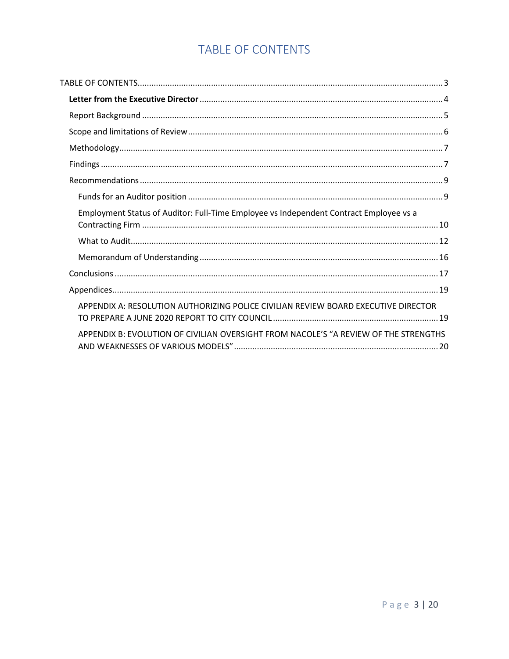# TABLE OF CONTENTS

<span id="page-3-0"></span>

| Employment Status of Auditor: Full-Time Employee vs Independent Contract Employee vs a |  |
|----------------------------------------------------------------------------------------|--|
|                                                                                        |  |
|                                                                                        |  |
|                                                                                        |  |
|                                                                                        |  |
| APPENDIX A: RESOLUTION AUTHORIZING POLICE CIVILIAN REVIEW BOARD EXECUTIVE DIRECTOR     |  |
| APPENDIX B: EVOLUTION OF CIVILIAN OVERSIGHT FROM NACOLE'S "A REVIEW OF THE STRENGTHS   |  |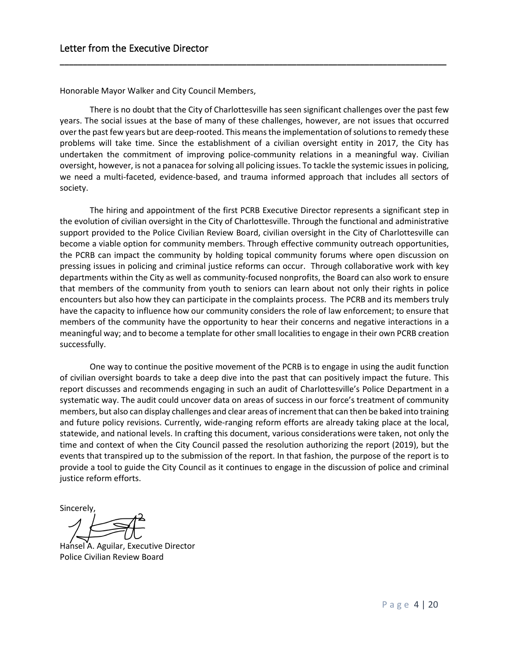Honorable Mayor Walker and City Council Members,

There is no doubt that the City of Charlottesville has seen significant challenges over the past few years. The social issues at the base of many of these challenges, however, are not issues that occurred over the past few years but are deep-rooted. This means the implementation of solutions to remedy these problems will take time. Since the establishment of a civilian oversight entity in 2017, the City has undertaken the commitment of improving police-community relations in a meaningful way. Civilian oversight, however, is not a panacea forsolving all policing issues. To tackle the systemic issues in policing, we need a multi-faceted, evidence-based, and trauma informed approach that includes all sectors of society.

<span id="page-4-0"></span>**\_\_\_\_\_\_\_\_\_\_\_\_\_\_\_\_\_\_\_\_\_\_\_\_\_\_\_\_\_\_\_\_\_\_\_\_\_\_\_\_\_\_\_\_\_\_\_\_\_\_\_\_\_\_\_\_\_\_\_\_\_\_\_\_\_\_\_\_\_\_\_\_\_\_\_\_\_\_\_\_\_\_\_\_\_**

The hiring and appointment of the first PCRB Executive Director represents a significant step in the evolution of civilian oversight in the City of Charlottesville. Through the functional and administrative support provided to the Police Civilian Review Board, civilian oversight in the City of Charlottesville can become a viable option for community members. Through effective community outreach opportunities, the PCRB can impact the community by holding topical community forums where open discussion on pressing issues in policing and criminal justice reforms can occur. Through collaborative work with key departments within the City as well as community-focused nonprofits, the Board can also work to ensure that members of the community from youth to seniors can learn about not only their rights in police encounters but also how they can participate in the complaints process. The PCRB and its members truly have the capacity to influence how our community considers the role of law enforcement; to ensure that members of the community have the opportunity to hear their concerns and negative interactions in a meaningful way; and to become a template for other small localities to engage in their own PCRB creation successfully.

One way to continue the positive movement of the PCRB is to engage in using the audit function of civilian oversight boards to take a deep dive into the past that can positively impact the future. This report discusses and recommends engaging in such an audit of Charlottesville's Police Department in a systematic way. The audit could uncover data on areas of success in our force's treatment of community members, but also can display challenges and clear areas of increment that can then be baked into training and future policy revisions. Currently, wide-ranging reform efforts are already taking place at the local, statewide, and national levels. In crafting this document, various considerations were taken, not only the time and context of when the City Council passed the resolution authorizing the report (2019), but the events that transpired up to the submission of the report. In that fashion, the purpose of the report is to provide a tool to guide the City Council as it continues to engage in the discussion of police and criminal justice reform efforts.

**Sincerely** 

Hansel A. Aguilar, Executive Director Police Civilian Review Board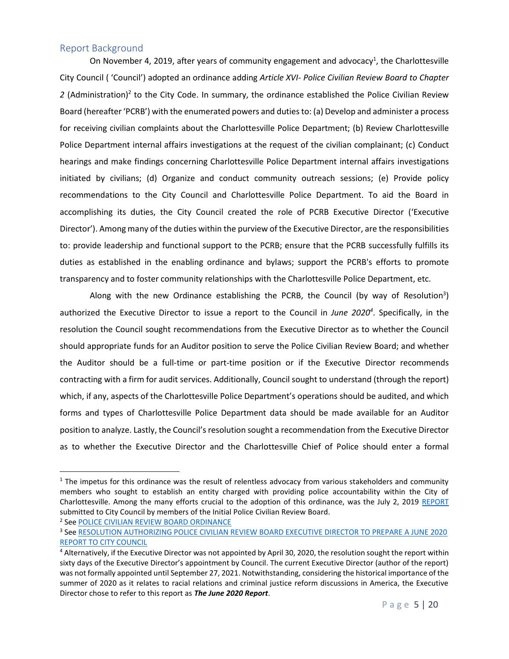### <span id="page-5-0"></span>Report Background

On November 4, 2019, after years of community engagement and advocacy<sup>1</sup>, the Charlottesville City Council ( 'Council') adopted an ordinance adding *Article XVI- Police Civilian Review Board to Chapter*  2 (Administration)<sup>2</sup> to the City Code. In summary, the ordinance established the Police Civilian Review Board (hereafter 'PCRB') with the enumerated powers and duties to: (a) Develop and administer a process for receiving civilian complaints about the Charlottesville Police Department; (b) Review Charlottesville Police Department internal affairs investigations at the request of the civilian complainant; (c) Conduct hearings and make findings concerning Charlottesville Police Department internal affairs investigations initiated by civilians; (d) Organize and conduct community outreach sessions; (e) Provide policy recommendations to the City Council and Charlottesville Police Department. To aid the Board in accomplishing its duties, the City Council created the role of PCRB Executive Director ('Executive Director'). Among many of the duties within the purview of the Executive Director, are the responsibilities to: provide leadership and functional support to the PCRB; ensure that the PCRB successfully fulfills its duties as established in the enabling ordinance and bylaws; support the PCRB's efforts to promote transparency and to foster community relationships with the Charlottesville Police Department, etc.

Along with the new Ordinance establishing the PCRB, the Council (by way of Resolution<sup>3</sup>) authorized the Executive Director to issue a report to the Council in *June 2020<sup>4</sup>* . Specifically, in the resolution the Council sought recommendations from the Executive Director as to whether the Council should appropriate funds for an Auditor position to serve the Police Civilian Review Board; and whether the Auditor should be a full-time or part-time position or if the Executive Director recommends contracting with a firm for audit services. Additionally, Council sought to understand (through the report) which, if any, aspects of the Charlottesville Police Department's operations should be audited, and which forms and types of Charlottesville Police Department data should be made available for an Auditor position to analyze. Lastly, the Council's resolution sought a recommendation from the Executive Director as to whether the Executive Director and the Charlottesville Chief of Police should enter a formal

<sup>2</sup> See <u>POLICE CIVILIAN REVIEW BOARD ORDINANCE</u>

 $1$  The impetus for this ordinance was the result of relentless advocacy from various stakeholders and community members who sought to establish an entity charged with providing police accountability within the City of Charlottesville. Among the many efforts crucial to the adoption of this ordinance, was the July 2, 2019 [REPORT](https://charlottesville-my.sharepoint.com/personal/foia_charlottesville_gov/_layouts/15/onedrive.aspx?id=%2Fpersonal%2Ffoia%5Fcharlottesville%5Fgov%2FDocuments%2FPCRB%2DARCHIVE%2D2018%2D2019%2DKEEP%2FInitial%20Police%20Civilian%20Review%20Board%2Epdf&parent=%2Fpersonal%2Ffoia%5Fcharlottesville%5Fgov%2FDocuments%2FPCRB%2DARCHIVE%2D2018%2D2019%2DKEEP) submitted to City Council by members of the Initial Police Civilian Review Board.

<sup>&</sup>lt;sup>3</sup> See <u>RESOLUTION AUTHORIZING POLICE CIVILIAN REVIEW BOARD EXECUTIVE DIRECTOR TO PREPARE A JUNE 2020</u> [REPORT TO CITY COUNCIL](https://www.charlottesville.gov/DocumentCenter/View/2378/RESOLUTION-passed-November-4-2019-Authorizing-PCRB-Executive-Director-to-Prepare-a-June-2020-Report-to-City-Council-PDF)

<sup>&</sup>lt;sup>4</sup> Alternatively, if the Executive Director was not appointed by April 30, 2020, the resolution sought the report within sixty days of the Executive Director's appointment by Council. The current Executive Director (author of the report) was not formally appointed until September 27, 2021. Notwithstanding, considering the historical importance of the summer of 2020 as it relates to racial relations and criminal justice reform discussions in America, the Executive Director chose to refer to this report as *The June 2020 Report*.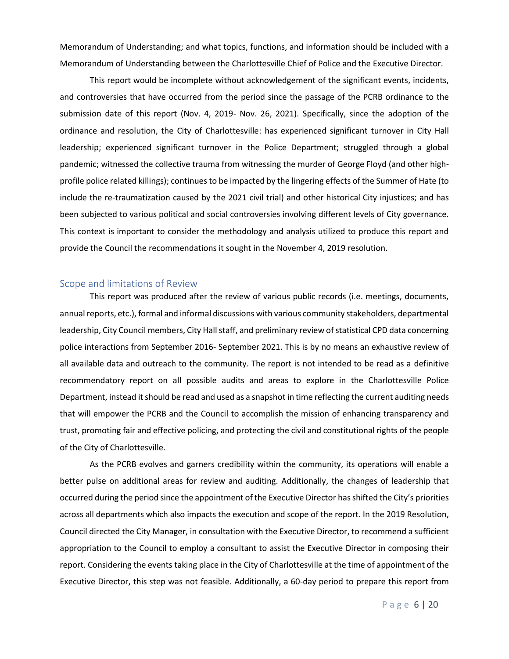Memorandum of Understanding; and what topics, functions, and information should be included with a Memorandum of Understanding between the Charlottesville Chief of Police and the Executive Director.

This report would be incomplete without acknowledgement of the significant events, incidents, and controversies that have occurred from the period since the passage of the PCRB ordinance to the submission date of this report (Nov. 4, 2019- Nov. 26, 2021). Specifically, since the adoption of the ordinance and resolution, the City of Charlottesville: has experienced significant turnover in City Hall leadership; experienced significant turnover in the Police Department; struggled through a global pandemic; witnessed the collective trauma from witnessing the murder of George Floyd (and other highprofile police related killings); continues to be impacted by the lingering effects of the Summer of Hate (to include the re-traumatization caused by the 2021 civil trial) and other historical City injustices; and has been subjected to various political and social controversies involving different levels of City governance. This context is important to consider the methodology and analysis utilized to produce this report and provide the Council the recommendations it sought in the November 4, 2019 resolution.

#### <span id="page-6-0"></span>Scope and limitations of Review

This report was produced after the review of various public records (i.e. meetings, documents, annual reports, etc.), formal and informal discussions with various community stakeholders, departmental leadership, City Council members, City Hall staff, and preliminary review of statistical CPD data concerning police interactions from September 2016- September 2021. This is by no means an exhaustive review of all available data and outreach to the community. The report is not intended to be read as a definitive recommendatory report on all possible audits and areas to explore in the Charlottesville Police Department, instead it should be read and used as a snapshot in time reflecting the current auditing needs that will empower the PCRB and the Council to accomplish the mission of enhancing transparency and trust, promoting fair and effective policing, and protecting the civil and constitutional rights of the people of the City of Charlottesville.

As the PCRB evolves and garners credibility within the community, its operations will enable a better pulse on additional areas for review and auditing. Additionally, the changes of leadership that occurred during the period since the appointment of the Executive Director hasshifted the City's priorities across all departments which also impacts the execution and scope of the report. In the 2019 Resolution, Council directed the City Manager, in consultation with the Executive Director, to recommend a sufficient appropriation to the Council to employ a consultant to assist the Executive Director in composing their report. Considering the events taking place in the City of Charlottesville at the time of appointment of the Executive Director, this step was not feasible. Additionally, a 60-day period to prepare this report from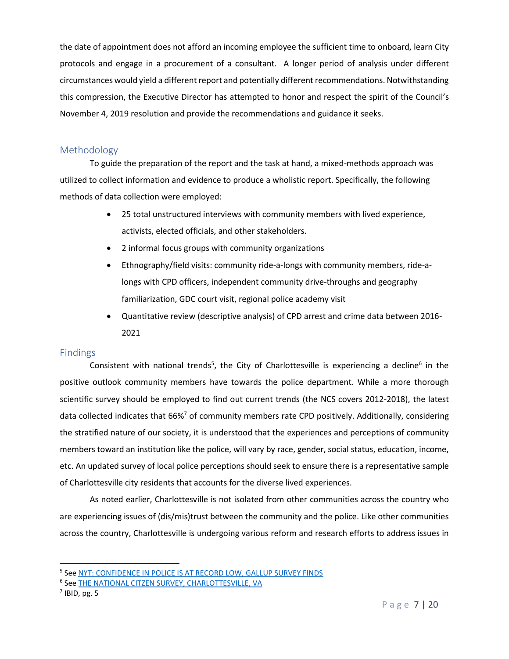the date of appointment does not afford an incoming employee the sufficient time to onboard, learn City protocols and engage in a procurement of a consultant. A longer period of analysis under different circumstances would yield a different report and potentially different recommendations. Notwithstanding this compression, the Executive Director has attempted to honor and respect the spirit of the Council's November 4, 2019 resolution and provide the recommendations and guidance it seeks.

## <span id="page-7-0"></span>Methodology

To guide the preparation of the report and the task at hand, a mixed-methods approach was utilized to collect information and evidence to produce a wholistic report. Specifically, the following methods of data collection were employed:

- 25 total unstructured interviews with community members with lived experience, activists, elected officials, and other stakeholders.
- 2 informal focus groups with community organizations
- Ethnography/field visits: community ride-a-longs with community members, ride-alongs with CPD officers, independent community drive-throughs and geography familiarization, GDC court visit, regional police academy visit
- Quantitative review (descriptive analysis) of CPD arrest and crime data between 2016- 2021

### <span id="page-7-1"></span>**Findings**

Consistent with national trends<sup>5</sup>, the City of Charlottesville is experiencing a decline<sup>6</sup> in the positive outlook community members have towards the police department. While a more thorough scientific survey should be employed to find out current trends (the NCS covers 2012-2018), the latest data collected indicates that 66%<sup>7</sup> of community members rate CPD positively. Additionally, considering the stratified nature of our society, it is understood that the experiences and perceptions of community members toward an institution like the police, will vary by race, gender, social status, education, income, etc. An updated survey of local police perceptions should seek to ensure there is a representative sample of Charlottesville city residents that accounts for the diverse lived experiences.

As noted earlier, Charlottesville is not isolated from other communities across the country who are experiencing issues of (dis/mis)trust between the community and the police. Like other communities across the country, Charlottesville is undergoing various reform and research efforts to address issues in

<sup>&</sup>lt;sup>5</sup> See <u>NYT: CONFIDENCE IN POLICE IS AT RECORD LOW, GALLUP SURVEY FINDS</u>

<sup>&</sup>lt;sup>6</sup> See <u>THE NATIONAL CITZEN SURVEY, CHARLOTTESVILLE, VA</u>

 $<sup>7</sup>$  IBID, pg. 5</sup>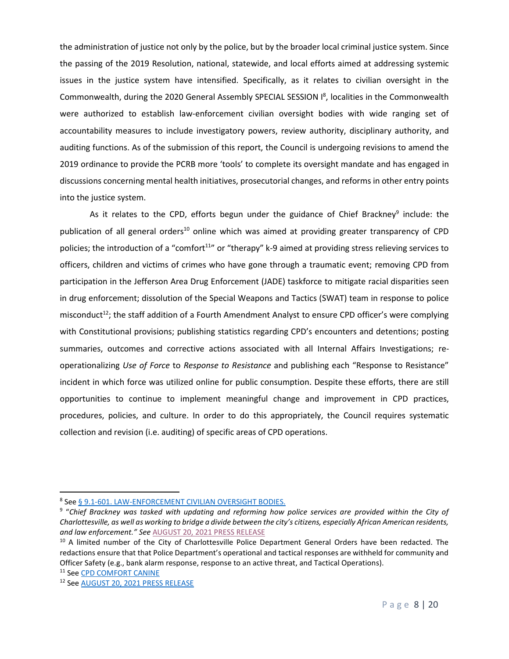the administration of justice not only by the police, but by the broader local criminal justice system. Since the passing of the 2019 Resolution, national, statewide, and local efforts aimed at addressing systemic issues in the justice system have intensified. Specifically, as it relates to civilian oversight in the Commonwealth, during the 2020 General Assembly SPECIAL SESSION I<sup>8</sup>, localities in the Commonwealth were authorized to establish law-enforcement civilian oversight bodies with wide ranging set of accountability measures to include investigatory powers, review authority, disciplinary authority, and auditing functions. As of the submission of this report, the Council is undergoing revisions to amend the 2019 ordinance to provide the PCRB more 'tools' to complete its oversight mandate and has engaged in discussions concerning mental health initiatives, prosecutorial changes, and reforms in other entry points into the justice system.

As it relates to the CPD, efforts begun under the guidance of Chief Brackney<sup>9</sup> include: the publication of all general orders<sup>10</sup> online which was aimed at providing greater transparency of CPD policies; the introduction of a "comfort<sup>11</sup>" or "therapy" k-9 aimed at providing stress relieving services to officers, children and victims of crimes who have gone through a traumatic event; removing CPD from participation in the Jefferson Area Drug Enforcement (JADE) taskforce to mitigate racial disparities seen in drug enforcement; dissolution of the Special Weapons and Tactics (SWAT) team in response to police misconduct<sup>12</sup>; the staff addition of a Fourth Amendment Analyst to ensure CPD officer's were complying with Constitutional provisions; publishing statistics regarding CPD's encounters and detentions; posting summaries, outcomes and corrective actions associated with all Internal Affairs Investigations; reoperationalizing *Use of Force* to *Response to Resistance* and publishing each "Response to Resistance" incident in which force was utilized online for public consumption. Despite these efforts, there are still opportunities to continue to implement meaningful change and improvement in CPD practices, procedures, policies, and culture. In order to do this appropriately, the Council requires systematic collection and revision (i.e. auditing) of specific areas of CPD operations.

<sup>&</sup>lt;sup>8</sup> See <u>§ 9.1-601. LAW-ENFORCEMENT CIVILIAN OVERSIGHT BODIES.</u>

<sup>9</sup> "*Chief Brackney was tasked with updating and reforming how police services are provided within the City of Charlottesville, as well as working to bridge a divide between the city's citizens, especially African American residents, and law enforcement." See* [AUGUST 20, 2021 PRESS RELEASE](https://www.charlottesville.gov/civicalerts.aspx?aid=781)

<sup>&</sup>lt;sup>10</sup> A limited number of the City of Charlottesville Police Department General Orders have been redacted. The redactions ensure that that Police Department's operational and tactical responses are withheld for community and Officer Safety (e.g., bank alarm response, response to an active threat, and Tactical Operations). <sup>11</sup> Se[e CPD COMFORT CANINE](https://www.charlottesville.gov/DocumentCenter/View/3001/539-21--COMFORT-CANINE)

<sup>12</sup> Se[e AUGUST 20, 2021 PRESS RELEASE](https://www.charlottesville.gov/civicalerts.aspx?aid=781)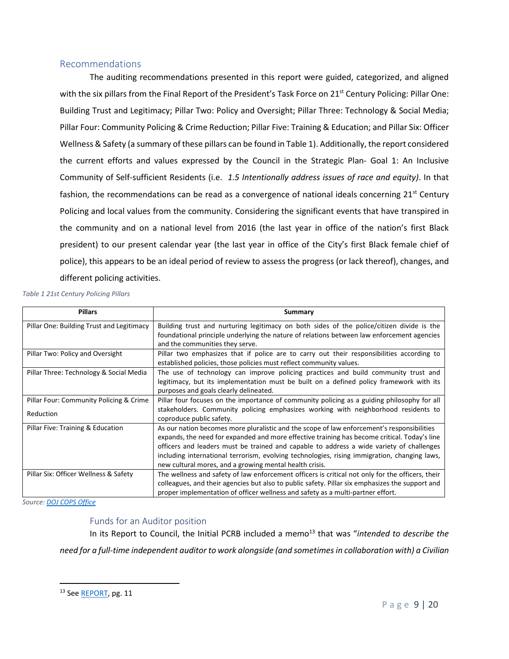## <span id="page-9-0"></span>Recommendations

The auditing recommendations presented in this report were guided, categorized, and aligned with the six pillars from the Final Report of the President's Task Force on 21<sup>st</sup> Century Policing: Pillar One: Building Trust and Legitimacy; Pillar Two: Policy and Oversight; Pillar Three: Technology & Social Media; Pillar Four: Community Policing & Crime Reduction; Pillar Five: Training & Education; and Pillar Six: Officer Wellness & Safety (a summary of these pillars can be found in Table 1). Additionally, the report considered the current efforts and values expressed by the Council in the Strategic Plan- Goal 1: An Inclusive Community of Self-sufficient Residents (i.e. *1.5 Intentionally address issues of race and equity)*. In that fashion, the recommendations can be read as a convergence of national ideals concerning  $21^{st}$  Century Policing and local values from the community. Considering the significant events that have transpired in the community and on a national level from 2016 (the last year in office of the nation's first Black president) to our present calendar year (the last year in office of the City's first Black female chief of police), this appears to be an ideal period of review to assess the progress (or lack thereof), changes, and different policing activities.

*Table 1 21st Century Policing Pillars*

| <b>Pillars</b>                                       | Summary                                                                                                                                                                                                                                                                                                                                                                                                                                           |
|------------------------------------------------------|---------------------------------------------------------------------------------------------------------------------------------------------------------------------------------------------------------------------------------------------------------------------------------------------------------------------------------------------------------------------------------------------------------------------------------------------------|
| Pillar One: Building Trust and Legitimacy            | Building trust and nurturing legitimacy on both sides of the police/citizen divide is the<br>foundational principle underlying the nature of relations between law enforcement agencies<br>and the communities they serve.                                                                                                                                                                                                                        |
| Pillar Two: Policy and Oversight                     | Pillar two emphasizes that if police are to carry out their responsibilities according to<br>established policies, those policies must reflect community values.                                                                                                                                                                                                                                                                                  |
| Pillar Three: Technology & Social Media              | The use of technology can improve policing practices and build community trust and<br>legitimacy, but its implementation must be built on a defined policy framework with its<br>purposes and goals clearly delineated.                                                                                                                                                                                                                           |
| Pillar Four: Community Policing & Crime<br>Reduction | Pillar four focuses on the importance of community policing as a guiding philosophy for all<br>stakeholders. Community policing emphasizes working with neighborhood residents to<br>coproduce public safety.                                                                                                                                                                                                                                     |
| Pillar Five: Training & Education                    | As our nation becomes more pluralistic and the scope of law enforcement's responsibilities<br>expands, the need for expanded and more effective training has become critical. Today's line<br>officers and leaders must be trained and capable to address a wide variety of challenges<br>including international terrorism, evolving technologies, rising immigration, changing laws,<br>new cultural mores, and a growing mental health crisis. |
| Pillar Six: Officer Wellness & Safety                | The wellness and safety of law enforcement officers is critical not only for the officers, their<br>colleagues, and their agencies but also to public safety. Pillar six emphasizes the support and<br>proper implementation of officer wellness and safety as a multi-partner effort.                                                                                                                                                            |

*Source: [DOJ COPS Office](https://cops.usdoj.gov/pdf/taskforce/taskforce_finalreport.pdf)*

### Funds for an Auditor position

<span id="page-9-1"></span>In its Report to Council, the Initial PCRB included a memo<sup>13</sup> that was "intended to describe the *need for a full-time independent auditor to work alongside (and sometimes in collaboration with) a Civilian* 

<sup>13</sup> Se[e REPORT,](https://charlottesville-my.sharepoint.com/personal/foia_charlottesville_gov/_layouts/15/onedrive.aspx?id=%2Fpersonal%2Ffoia%5Fcharlottesville%5Fgov%2FDocuments%2FPCRB%2DARCHIVE%2D2018%2D2019%2DKEEP%2FInitial%20Police%20Civilian%20Review%20Board%2Epdf&parent=%2Fpersonal%2Ffoia%5Fcharlottesville%5Fgov%2FDocuments%2FPCRB%2DARCHIVE%2D2018%2D2019%2DKEEP) pg. 11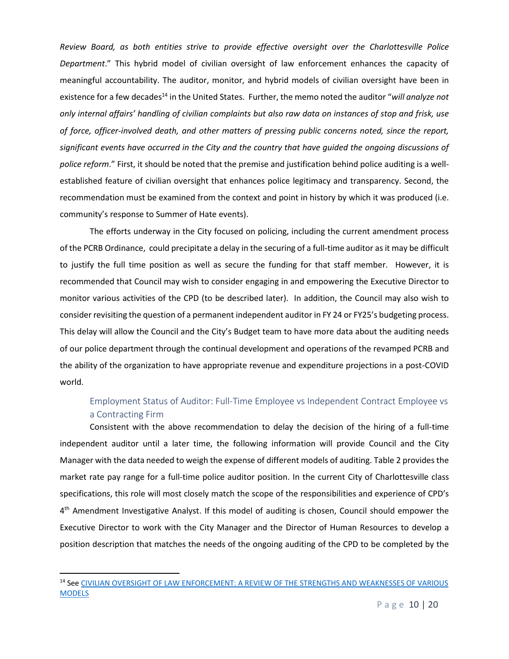*Review Board, as both entities strive to provide effective oversight over the Charlottesville Police Department*." This hybrid model of civilian oversight of law enforcement enhances the capacity of meaningful accountability. The auditor, monitor, and hybrid models of civilian oversight have been in existence for a few decades<sup>14</sup> in the United States. Further, the memo noted the auditor "*will analyze not only internal affairs' handling of civilian complaints but also raw data on instances of stop and frisk, use of force, officer-involved death, and other matters of pressing public concerns noted, since the report, significant events have occurred in the City and the country that have guided the ongoing discussions of police reform*." First, it should be noted that the premise and justification behind police auditing is a wellestablished feature of civilian oversight that enhances police legitimacy and transparency. Second, the recommendation must be examined from the context and point in history by which it was produced (i.e. community's response to Summer of Hate events).

The efforts underway in the City focused on policing, including the current amendment process of the PCRB Ordinance, could precipitate a delay in the securing of a full-time auditor as it may be difficult to justify the full time position as well as secure the funding for that staff member. However, it is recommended that Council may wish to consider engaging in and empowering the Executive Director to monitor various activities of the CPD (to be described later). In addition, the Council may also wish to consider revisiting the question of a permanent independent auditor in FY 24 or FY25's budgeting process. This delay will allow the Council and the City's Budget team to have more data about the auditing needs of our police department through the continual development and operations of the revamped PCRB and the ability of the organization to have appropriate revenue and expenditure projections in a post-COVID world.

# Employment Status of Auditor: Full-Time Employee vs Independent Contract Employee vs a Contracting Firm

<span id="page-10-0"></span>Consistent with the above recommendation to delay the decision of the hiring of a full-time independent auditor until a later time, the following information will provide Council and the City Manager with the data needed to weigh the expense of different models of auditing. Table 2 provides the market rate pay range for a full-time police auditor position. In the current City of Charlottesville class specifications, this role will most closely match the scope of the responsibilities and experience of CPD's 4<sup>th</sup> Amendment Investigative Analyst. If this model of auditing is chosen, Council should empower the Executive Director to work with the City Manager and the Director of Human Resources to develop a position description that matches the needs of the ongoing auditing of the CPD to be completed by the

<sup>&</sup>lt;sup>14</sup> See CIVILIAN OVERSIGHT O<u>F LAW ENFORCEMENT: A REVIEW OF THE STRENGTHS AND WEAKNESSES OF VARIOUS</u> **[MODELS](https://d3n8a8pro7vhmx.cloudfront.net/nacole/pages/161/attachments/original/1481727977/NACOLE_short_doc_FINAL.pdf?1481727977)**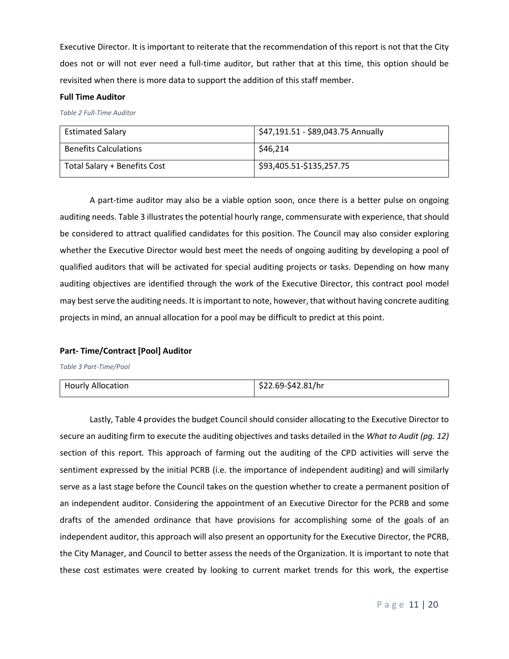Executive Director. It is important to reiterate that the recommendation of this report is not that the City does not or will not ever need a full-time auditor, but rather that at this time, this option should be revisited when there is more data to support the addition of this staff member.

#### **Full Time Auditor**

*Table 2 Full-Time Auditor*

| <b>Estimated Salary</b>      | \$47,191.51 - \$89,043.75 Annually |
|------------------------------|------------------------------------|
| <b>Benefits Calculations</b> | \$46.214                           |
| Total Salary + Benefits Cost | \$93,405.51-\$135,257.75           |

A part-time auditor may also be a viable option soon, once there is a better pulse on ongoing auditing needs. Table 3 illustrates the potential hourly range, commensurate with experience, that should be considered to attract qualified candidates for this position. The Council may also consider exploring whether the Executive Director would best meet the needs of ongoing auditing by developing a pool of qualified auditors that will be activated for special auditing projects or tasks. Depending on how many auditing objectives are identified through the work of the Executive Director, this contract pool model may best serve the auditing needs. It is important to note, however, that without having concrete auditing projects in mind, an annual allocation for a pool may be difficult to predict at this point.

#### **Part- Time/Contract [Pool] Auditor**

*Table 3 Part-Time/Pool*

| Hourly Allocation | $\frac{1}{2}$ \$22.69-\$42.81/hr |
|-------------------|----------------------------------|
|                   |                                  |

Lastly, Table 4 provides the budget Council should consider allocating to the Executive Director to secure an auditing firm to execute the auditing objectives and tasks detailed in the *What to Audit (pg. 12)*  section of this report*.* This approach of farming out the auditing of the CPD activities will serve the sentiment expressed by the initial PCRB (i.e. the importance of independent auditing) and will similarly serve as a last stage before the Council takes on the question whether to create a permanent position of an independent auditor. Considering the appointment of an Executive Director for the PCRB and some drafts of the amended ordinance that have provisions for accomplishing some of the goals of an independent auditor, this approach will also present an opportunity for the Executive Director, the PCRB, the City Manager, and Council to better assess the needs of the Organization. It is important to note that these cost estimates were created by looking to current market trends for this work, the expertise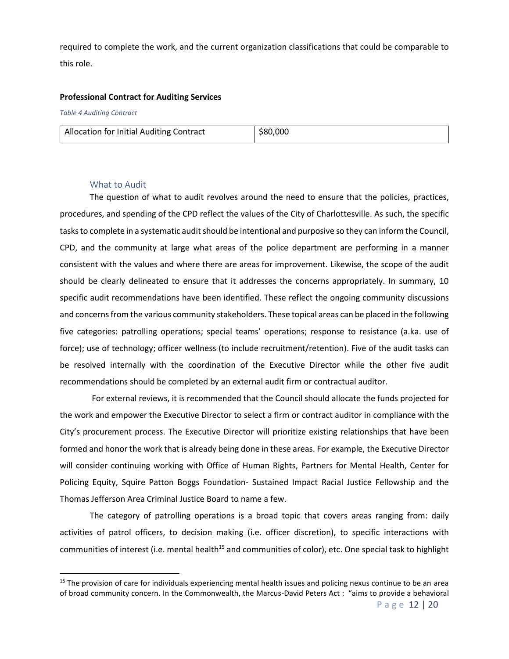required to complete the work, and the current organization classifications that could be comparable to this role.

#### **Professional Contract for Auditing Services**

*Table 4 Auditing Contract*

#### What to Audit

<span id="page-12-0"></span>The question of what to audit revolves around the need to ensure that the policies, practices, procedures, and spending of the CPD reflect the values of the City of Charlottesville. As such, the specific tasks to complete in a systematic audit should be intentional and purposive so they can inform the Council, CPD, and the community at large what areas of the police department are performing in a manner consistent with the values and where there are areas for improvement. Likewise, the scope of the audit should be clearly delineated to ensure that it addresses the concerns appropriately. In summary, 10 specific audit recommendations have been identified. These reflect the ongoing community discussions and concerns from the various community stakeholders. These topical areas can be placed in the following five categories: patrolling operations; special teams' operations; response to resistance (a.ka. use of force); use of technology; officer wellness (to include recruitment/retention). Five of the audit tasks can be resolved internally with the coordination of the Executive Director while the other five audit recommendations should be completed by an external audit firm or contractual auditor.

For external reviews, it is recommended that the Council should allocate the funds projected for the work and empower the Executive Director to select a firm or contract auditor in compliance with the City's procurement process. The Executive Director will prioritize existing relationships that have been formed and honor the work that is already being done in these areas. For example, the Executive Director will consider continuing working with Office of Human Rights, Partners for Mental Health, Center for Policing Equity, Squire Patton Boggs Foundation- Sustained Impact Racial Justice Fellowship and the Thomas Jefferson Area Criminal Justice Board to name a few.

The category of patrolling operations is a broad topic that covers areas ranging from: daily activities of patrol officers, to decision making (i.e. officer discretion), to specific interactions with communities of interest (i.e. mental health<sup>15</sup> and communities of color), etc. One special task to highlight

 $15$  The provision of care for individuals experiencing mental health issues and policing nexus continue to be an area of broad community concern. In the Commonwealth, the Marcus-David Peters Act : "aims to provide a behavioral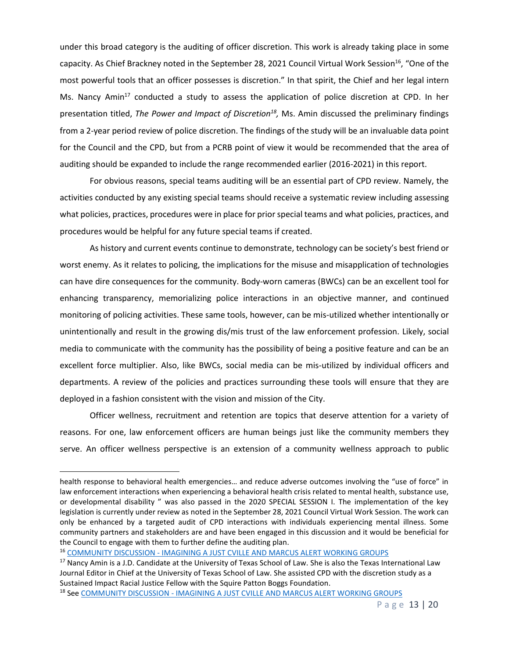under this broad category is the auditing of officer discretion. This work is already taking place in some capacity. As Chief Brackney noted in the September 28, 2021 Council Virtual Work Session<sup>16</sup>, "One of the most powerful tools that an officer possesses is discretion." In that spirit, the Chief and her legal intern Ms. Nancy Amin<sup>17</sup> conducted a study to assess the application of police discretion at CPD. In her presentation titled, *The Power and Impact of Discretion<sup>18</sup>*, Ms. Amin discussed the preliminary findings from a 2-year period review of police discretion. The findings of the study will be an invaluable data point for the Council and the CPD, but from a PCRB point of view it would be recommended that the area of auditing should be expanded to include the range recommended earlier (2016-2021) in this report.

For obvious reasons, special teams auditing will be an essential part of CPD review. Namely, the activities conducted by any existing special teams should receive a systematic review including assessing what policies, practices, procedures were in place for prior special teams and what policies, practices, and procedures would be helpful for any future special teams if created.

As history and current events continue to demonstrate, technology can be society's best friend or worst enemy. As it relates to policing, the implications for the misuse and misapplication of technologies can have dire consequences for the community. Body-worn cameras (BWCs) can be an excellent tool for enhancing transparency, memorializing police interactions in an objective manner, and continued monitoring of policing activities. These same tools, however, can be mis-utilized whether intentionally or unintentionally and result in the growing dis/mis trust of the law enforcement profession. Likely, social media to communicate with the community has the possibility of being a positive feature and can be an excellent force multiplier. Also, like BWCs, social media can be mis-utilized by individual officers and departments. A review of the policies and practices surrounding these tools will ensure that they are deployed in a fashion consistent with the vision and mission of the City.

Officer wellness, recruitment and retention are topics that deserve attention for a variety of reasons. For one, law enforcement officers are human beings just like the community members they serve. An officer wellness perspective is an extension of a community wellness approach to public

health response to behavioral health emergencies… and reduce adverse outcomes involving the "use of force" in law enforcement interactions when experiencing a behavioral health crisis related to mental health, substance use, or developmental disability " was also passed in the 2020 SPECIAL SESSION I. The implementation of the key legislation is currently under review as noted in the September 28, 2021 Council Virtual Work Session. The work can only be enhanced by a targeted audit of CPD interactions with individuals experiencing mental illness. Some community partners and stakeholders are and have been engaged in this discussion and it would be beneficial for the Council to engage with them to further define the auditing plan.

<sup>&</sup>lt;sup>16</sup> COMMUNITY DISCUSSION - [IMAGINING A JUST CVILLE AND MARCUS ALERT WORKING GROUPS](https://boxcast.tv/channel/vabajtzezuyv3iclkx1a?b=rusezwpouqvxsjdtt3l2)

<sup>&</sup>lt;sup>17</sup> Nancy Amin is a J.D. Candidate at the University of Texas School of Law. She is also the Texas International Law Journal Editor in Chief at the University of Texas School of Law. She assisted CPD with the discretion study as a Sustained Impact Racial Justice Fellow with the Squire Patton Boggs Foundation.

<sup>&</sup>lt;sup>18</sup> See COMMUNITY DISCUSSION - [IMAGINING A JUST CVILLE AND MARCUS ALERT WORKING GROUPS](https://boxcast.tv/channel/vabajtzezuyv3iclkx1a?b=rusezwpouqvxsjdtt3l2)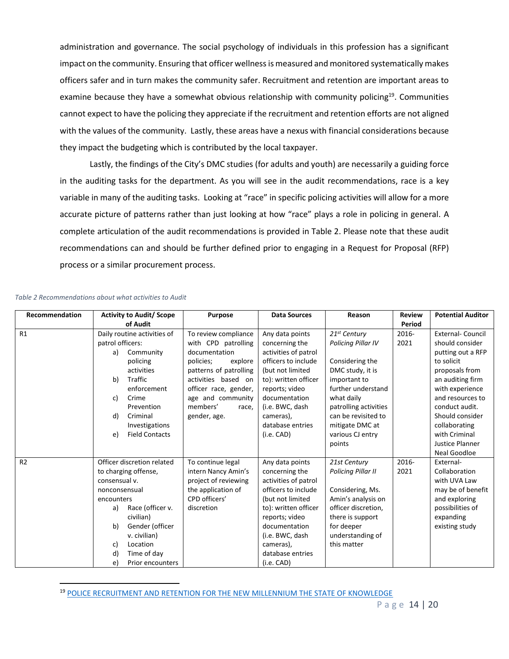administration and governance. The social psychology of individuals in this profession has a significant impact on the community. Ensuring that officer wellness is measured and monitored systematically makes officers safer and in turn makes the community safer. Recruitment and retention are important areas to examine because they have a somewhat obvious relationship with community policing<sup>19</sup>. Communities cannot expect to have the policing they appreciate if the recruitment and retention efforts are not aligned with the values of the community. Lastly, these areas have a nexus with financial considerations because they impact the budgeting which is contributed by the local taxpayer.

Lastly, the findings of the City's DMC studies (for adults and youth) are necessarily a guiding force in the auditing tasks for the department. As you will see in the audit recommendations, race is a key variable in many of the auditing tasks. Looking at "race" in specific policing activities will allow for a more accurate picture of patterns rather than just looking at how "race" plays a role in policing in general. A complete articulation of the audit recommendations is provided in Table 2. Please note that these audit recommendations can and should be further defined prior to engaging in a Request for Proposal (RFP) process or a similar procurement process.

| Recommendation | <b>Activity to Audit/ Scope</b> | Purpose                | <b>Data Sources</b>  | Reason                    | <b>Review</b> | <b>Potential Auditor</b> |
|----------------|---------------------------------|------------------------|----------------------|---------------------------|---------------|--------------------------|
|                | of Audit                        |                        |                      |                           | Period        |                          |
| R1             | Daily routine activities of     | To review compliance   | Any data points      | 21 <sup>st</sup> Century  | 2016-         | <b>External- Council</b> |
|                | patrol officers:                | with CPD patrolling    | concerning the       | Policing Pillar IV        | 2021          | should consider          |
|                | Community<br>a)                 | documentation          | activities of patrol |                           |               | putting out a RFP        |
|                | policing                        | policies;<br>explore   | officers to include  | Considering the           |               | to solicit               |
|                | activities                      | patterns of patrolling | (but not limited     | DMC study, it is          |               | proposals from           |
|                | Traffic<br>b)                   | activities based on    | to): written officer | important to              |               | an auditing firm         |
|                | enforcement                     | officer race, gender,  | reports; video       | further understand        |               | with experience          |
|                | Crime<br>c)                     | age and community      | documentation        | what daily                |               | and resources to         |
|                | Prevention                      | members'<br>race,      | (i.e. BWC, dash      | patrolling activities     |               | conduct audit.           |
|                | d)<br>Criminal                  | gender, age.           | cameras),            | can be revisited to       |               | Should consider          |
|                | Investigations                  |                        | database entries     | mitigate DMC at           |               | collaborating            |
|                | <b>Field Contacts</b><br>e)     |                        | (i.e. CAD)           | various CJ entry          |               | with Criminal            |
|                |                                 |                        |                      | points                    |               | Justice Planner          |
|                |                                 |                        |                      |                           |               | Neal Goodloe             |
| R <sub>2</sub> | Officer discretion related      | To continue legal      | Any data points      | 21st Century              | 2016-         | External-                |
|                | to charging offense,            | intern Nancy Amin's    | concerning the       | <b>Policing Pillar II</b> | 2021          | Collaboration            |
|                | consensual v.                   | project of reviewing   | activities of patrol |                           |               | with UVA Law             |
|                | nonconsensual                   | the application of     | officers to include  | Considering, Ms.          |               | may be of benefit        |
|                | encounters                      | CPD officers'          | (but not limited     | Amin's analysis on        |               | and exploring            |
|                | Race (officer v.<br>a)          | discretion             | to): written officer | officer discretion,       |               | possibilities of         |
|                | civilian)                       |                        | reports; video       | there is support          |               | expanding                |
|                | b)<br>Gender (officer           |                        | documentation        | for deeper                |               | existing study           |
|                | v. civilian)                    |                        | (i.e. BWC, dash      | understanding of          |               |                          |
|                | Location<br>c)                  |                        | cameras),            | this matter               |               |                          |
|                | d)<br>Time of day               |                        | database entries     |                           |               |                          |
|                | e)<br>Prior encounters          |                        | (i.e. CAD)           |                           |               |                          |

#### *Table 2 Recommendations about what activities to Audit*

<sup>19</sup> [POLICE RECRUITMENT AND RETENTION FOR THE NEW MILLENNIUM THE STATE OF KNOWLEDGE](https://cops.usdoj.gov/RIC/Publications/cops-p199-pub.pdf)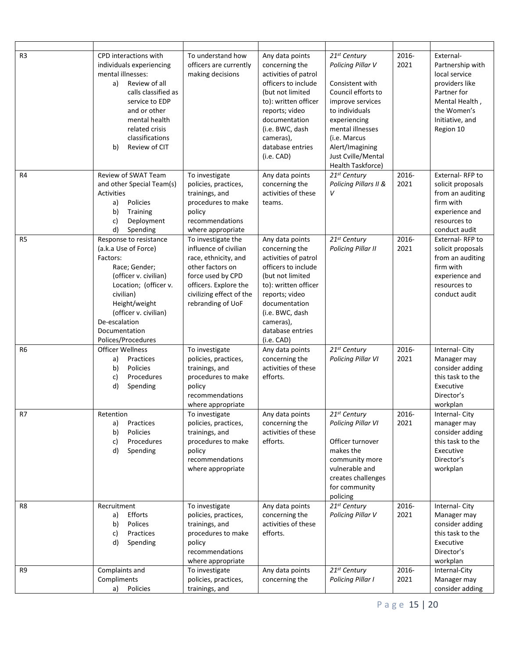| R <sub>3</sub> | CPD interactions with<br>individuals experiencing<br>mental illnesses:<br>Review of all<br>a)<br>calls classified as<br>service to EDP<br>and or other<br>mental health<br>related crisis<br>classifications<br>Review of CIT<br>b)          | To understand how<br>officers are currently<br>making decisions                                                                                                                        | Any data points<br>concerning the<br>activities of patrol<br>officers to include<br>(but not limited<br>to): written officer<br>reports; video<br>documentation<br>(i.e. BWC, dash<br>cameras),<br>database entries<br>(i.e. CAD) | 21 <sup>st</sup> Century<br>Policing Pillar V<br>Consistent with<br>Council efforts to<br>improve services<br>to individuals<br>experiencing<br>mental illnesses<br>(i.e. Marcus<br>Alert/Imagining<br>Just Cville/Mental<br>Health Taskforce) | 2016-<br>2021 | External-<br>Partnership with<br>local service<br>providers like<br>Partner for<br>Mental Health,<br>the Women's<br>Initiative, and<br>Region 10 |
|----------------|----------------------------------------------------------------------------------------------------------------------------------------------------------------------------------------------------------------------------------------------|----------------------------------------------------------------------------------------------------------------------------------------------------------------------------------------|-----------------------------------------------------------------------------------------------------------------------------------------------------------------------------------------------------------------------------------|------------------------------------------------------------------------------------------------------------------------------------------------------------------------------------------------------------------------------------------------|---------------|--------------------------------------------------------------------------------------------------------------------------------------------------|
| R4             | Review of SWAT Team<br>and other Special Team(s)<br>Activities<br>Policies<br>a)<br>b)<br>Training<br>Deployment<br>c)<br>d)<br>Spending                                                                                                     | To investigate<br>policies, practices,<br>trainings, and<br>procedures to make<br>policy<br>recommendations<br>where appropriate                                                       | Any data points<br>concerning the<br>activities of these<br>teams.                                                                                                                                                                | 21 <sup>st</sup> Century<br>Policing Pillars II &<br>v                                                                                                                                                                                         | 2016-<br>2021 | External-RFP to<br>solicit proposals<br>from an auditing<br>firm with<br>experience and<br>resources to<br>conduct audit                         |
| R <sub>5</sub> | Response to resistance<br>(a.k.a Use of Force)<br>Factors:<br>Race; Gender;<br>(officer v. civilian)<br>Location; (officer v.<br>civilian)<br>Height/weight<br>(officer v. civilian)<br>De-escalation<br>Documentation<br>Polices/Procedures | To investigate the<br>influence of civilian<br>race, ethnicity, and<br>other factors on<br>force used by CPD<br>officers. Explore the<br>civilizing effect of the<br>rebranding of UoF | Any data points<br>concerning the<br>activities of patrol<br>officers to include<br>(but not limited<br>to): written officer<br>reports; video<br>documentation<br>(i.e. BWC, dash<br>cameras),<br>database entries<br>(i.e. CAD) | 21st Century<br><b>Policing Pillar II</b>                                                                                                                                                                                                      | 2016-<br>2021 | External-RFP to<br>solicit proposals<br>from an auditing<br>firm with<br>experience and<br>resources to<br>conduct audit                         |
| R <sub>6</sub> | <b>Officer Wellness</b><br>Practices<br>a)<br>b)<br>Policies<br>Procedures<br>c)<br>d)<br>Spending                                                                                                                                           | To investigate<br>policies, practices,<br>trainings, and<br>procedures to make<br>policy<br>recommendations<br>where appropriate                                                       | Any data points<br>concerning the<br>activities of these<br>efforts.                                                                                                                                                              | 21st Century<br><b>Policing Pillar VI</b>                                                                                                                                                                                                      | 2016-<br>2021 | Internal-City<br>Manager may<br>consider adding<br>this task to the<br>Executive<br>Director's<br>workplan                                       |
| R7             | Retention<br>Practices<br>a)<br>Policies<br>b)<br>Procedures<br>c)<br>d)<br>Spending                                                                                                                                                         | To investigate<br>policies, practices,<br>trainings, and<br>procedures to make<br>policy<br>recommendations<br>where appropriate                                                       | Any data points<br>concerning the<br>activities of these<br>efforts.                                                                                                                                                              | 21st Century<br><b>Policing Pillar VI</b><br>Officer turnover<br>makes the<br>community more<br>vulnerable and<br>creates challenges<br>for community<br>policing                                                                              | 2016-<br>2021 | Internal-City<br>manager may<br>consider adding<br>this task to the<br>Executive<br>Director's<br>workplan                                       |
| R8             | Recruitment<br>Efforts<br>a)<br>b)<br>Polices<br>Practices<br>c)<br>d)<br>Spending                                                                                                                                                           | To investigate<br>policies, practices,<br>trainings, and<br>procedures to make<br>policy<br>recommendations<br>where appropriate                                                       | Any data points<br>concerning the<br>activities of these<br>efforts.                                                                                                                                                              | 21st Century<br>Policing Pillar V                                                                                                                                                                                                              | 2016-<br>2021 | Internal-City<br>Manager may<br>consider adding<br>this task to the<br>Executive<br>Director's<br>workplan                                       |
| R9             | Complaints and<br>Compliments<br>a) Policies                                                                                                                                                                                                 | To investigate<br>policies, practices,<br>trainings, and                                                                                                                               | Any data points<br>concerning the                                                                                                                                                                                                 | 21st Century<br><b>Policing Pillar I</b>                                                                                                                                                                                                       | 2016-<br>2021 | Internal-City<br>Manager may<br>consider adding                                                                                                  |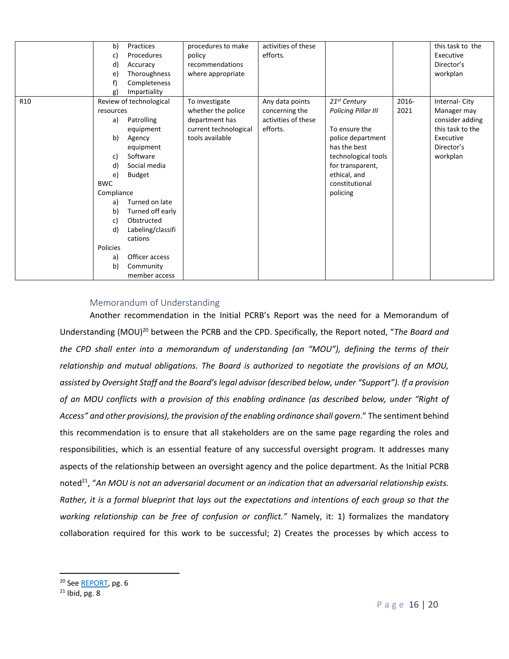|                 | b)<br>Practices<br>Procedures<br>c)<br>d)<br>Accuracy<br>Thoroughness<br>e)<br>f)<br>Completeness<br>Impartiality<br>g)                                                                                                                                                                                                                                                           | procedures to make<br>policy<br>recommendations<br>where appropriate                               | activities of these<br>efforts.                                      |                                                                                                                                                                                             |               | this task to the<br>Executive<br>Director's<br>workplan                                                    |
|-----------------|-----------------------------------------------------------------------------------------------------------------------------------------------------------------------------------------------------------------------------------------------------------------------------------------------------------------------------------------------------------------------------------|----------------------------------------------------------------------------------------------------|----------------------------------------------------------------------|---------------------------------------------------------------------------------------------------------------------------------------------------------------------------------------------|---------------|------------------------------------------------------------------------------------------------------------|
| R <sub>10</sub> | Review of technological<br>resources<br>Patrolling<br>a)<br>equipment<br>b)<br>Agency<br>equipment<br>Software<br>c)<br>Social media<br>d)<br><b>Budget</b><br>e)<br><b>BWC</b><br>Compliance<br>Turned on late<br>a)<br>Turned off early<br>b)<br>Obstructed<br>c)<br>Labeling/classifi<br>d)<br>cations<br>Policies<br>Officer access<br>a)<br>b)<br>Community<br>member access | To investigate<br>whether the police<br>department has<br>current technological<br>tools available | Any data points<br>concerning the<br>activities of these<br>efforts. | $21st$ Century<br><b>Policing Pillar III</b><br>To ensure the<br>police department<br>has the best<br>technological tools<br>for transparent,<br>ethical, and<br>constitutional<br>policing | 2016-<br>2021 | Internal-City<br>Manager may<br>consider adding<br>this task to the<br>Executive<br>Director's<br>workplan |

#### Memorandum of Understanding

<span id="page-16-0"></span>Another recommendation in the Initial PCRB's Report was the need for a Memorandum of Understanding (MOU)<sup>20</sup> between the PCRB and the CPD. Specifically, the Report noted, "*The Board and the CPD shall enter into a memorandum of understanding (an "MOU"), defining the terms of their relationship and mutual obligations. The Board is authorized to negotiate the provisions of an MOU, assisted by Oversight Staff and the Board's legal advisor (described below, under "Support"). If a provision of an MOU conflicts with a provision of this enabling ordinance (as described below, under "Right of Access" and other provisions), the provision of the enabling ordinance shall govern*." The sentiment behind this recommendation is to ensure that all stakeholders are on the same page regarding the roles and responsibilities, which is an essential feature of any successful oversight program. It addresses many aspects of the relationship between an oversight agency and the police department. As the Initial PCRB noted<sup>21</sup>, "An MOU is not an adversarial document or an indication that an adversarial relationship exists. *Rather, it is a formal blueprint that lays out the expectations and intentions of each group so that the working relationship can be free of confusion or conflict."* Namely, it: 1) formalizes the mandatory collaboration required for this work to be successful; 2) Creates the processes by which access to

<sup>&</sup>lt;sup>20</sup> Se[e REPORT,](https://charlottesville-my.sharepoint.com/personal/foia_charlottesville_gov/_layouts/15/onedrive.aspx?id=%2Fpersonal%2Ffoia%5Fcharlottesville%5Fgov%2FDocuments%2FPCRB%2DARCHIVE%2D2018%2D2019%2DKEEP%2FInitial%20Police%20Civilian%20Review%20Board%2Epdf&parent=%2Fpersonal%2Ffoia%5Fcharlottesville%5Fgov%2FDocuments%2FPCRB%2DARCHIVE%2D2018%2D2019%2DKEEP) pg. 6

 $21$  Ibid, pg, 8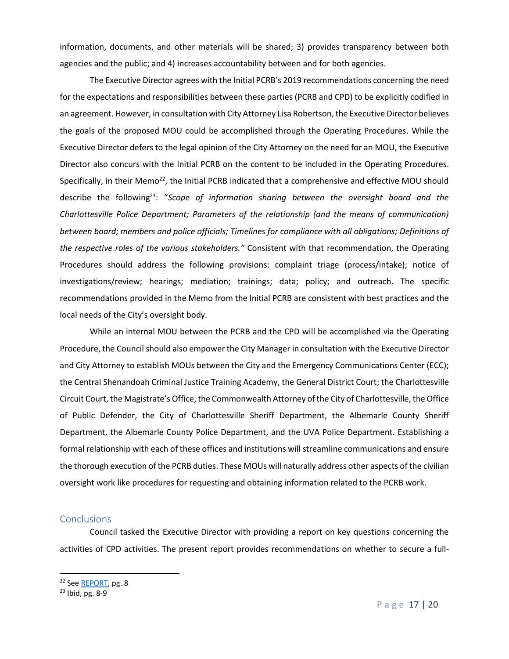information, documents, and other materials will be shared; 3) provides transparency between both agencies and the public; and 4) increases accountability between and for both agencies.

The Executive Director agrees with the Initial PCRB's 2019 recommendations concerning the need for the expectations and responsibilities between these parties (PCRB and CPD) to be explicitly codified in an agreement. However, in consultation with City Attorney Lisa Robertson, the Executive Director believes the goals of the proposed MOU could be accomplished through the Operating Procedures. While the Executive Director defers to the legal opinion of the City Attorney on the need for an MOU, the Executive Director also concurs with the Initial PCRB on the content to be included in the Operating Procedures. Specifically, in their Memo<sup>22</sup>, the Initial PCRB indicated that a comprehensive and effective MOU should describe the following<sup>23</sup>: "*Scope of information sharing between the oversight board and the Charlottesville Police Department; Parameters of the relationship (and the means of communication) between board; members and police officials; Timelines for compliance with all obligations; Definitions of the respective roles of the various stakeholders."* Consistent with that recommendation, the Operating Procedures should address the following provisions: complaint triage (process/intake); notice of investigations/review; hearings; mediation; trainings; data; policy; and outreach. The specific recommendations provided in the Memo from the Initial PCRB are consistent with best practices and the local needs of the City's oversight body.

While an internal MOU between the PCRB and the CPD will be accomplished via the Operating Procedure, the Council should also empower the City Manager in consultation with the Executive Director and City Attorney to establish MOUs between the City and the Emergency Communications Center (ECC); the Central Shenandoah Criminal Justice Training Academy, the General District Court; the Charlottesville Circuit Court, the Magistrate's Office, the Commonwealth Attorney of the City of Charlottesville, the Office of Public Defender, the City of Charlottesville Sheriff Department, the Albemarle County Sheriff Department, the Albemarle County Police Department, and the UVA Police Department. Establishing a formal relationship with each of these offices and institutions will streamline communications and ensure the thorough execution of the PCRB duties. These MOUs will naturally address other aspects of the civilian oversight work like procedures for requesting and obtaining information related to the PCRB work.

#### <span id="page-17-0"></span>**Conclusions**

Council tasked the Executive Director with providing a report on key questions concerning the activities of CPD activities. The present report provides recommendations on whether to secure a full-

<sup>&</sup>lt;sup>22</sup> Se[e REPORT,](https://charlottesville-my.sharepoint.com/personal/foia_charlottesville_gov/_layouts/15/onedrive.aspx?id=%2Fpersonal%2Ffoia%5Fcharlottesville%5Fgov%2FDocuments%2FPCRB%2DARCHIVE%2D2018%2D2019%2DKEEP%2FInitial%20Police%20Civilian%20Review%20Board%2Epdf&parent=%2Fpersonal%2Ffoia%5Fcharlottesville%5Fgov%2FDocuments%2FPCRB%2DARCHIVE%2D2018%2D2019%2DKEEP) pg. 8

<sup>23</sup> Ibid, pg. 8-9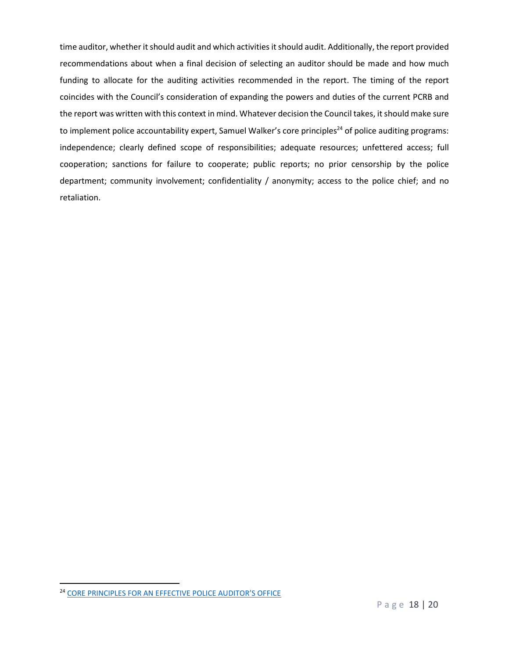time auditor, whether it should audit and which activities it should audit. Additionally, the report provided recommendations about when a final decision of selecting an auditor should be made and how much funding to allocate for the auditing activities recommended in the report. The timing of the report coincides with the Council's consideration of expanding the powers and duties of the current PCRB and the report was written with this context in mind. Whatever decision the Council takes, it should make sure to implement police accountability expert, Samuel Walker's core principles<sup>24</sup> of police auditing programs: independence; clearly defined scope of responsibilities; adequate resources; unfettered access; full cooperation; sanctions for failure to cooperate; public reports; no prior censorship by the police department; community involvement; confidentiality / anonymity; access to the police chief; and no retaliation.

<sup>24</sup> CORE PRINCI[PLES FOR AN EFFECTIVE POLICE AUDITOR'S OFFICE](https://samuelwalker.net/wp-content/uploads/2010/06/coreprinciples.pdf)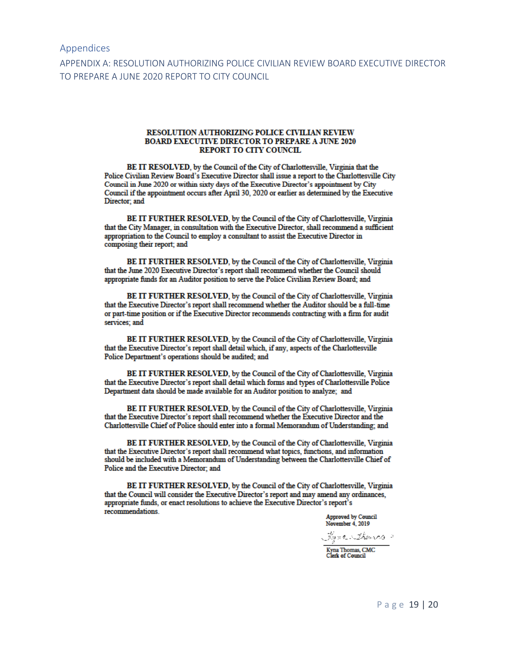#### <span id="page-19-0"></span>Appendices

<span id="page-19-1"></span>APPENDIX A: RESOLUTION AUTHORIZING POLICE CIVILIAN REVIEW BOARD EXECUTIVE DIRECTOR TO PREPARE A JUNE 2020 REPORT TO CITY COUNCIL

#### RESOLUTION AUTHORIZING POLICE CIVILIAN REVIEW **BOARD EXECUTIVE DIRECTOR TO PREPARE A JUNE 2020 REPORT TO CITY COUNCIL**

BE IT RESOLVED, by the Council of the City of Charlottesville, Virginia that the Police Civilian Review Board's Executive Director shall issue a report to the Charlottesville City Council in June 2020 or within sixty days of the Executive Director's appointment by City Council if the appointment occurs after April 30, 2020 or earlier as determined by the Executive Director; and

BE IT FURTHER RESOLVED, by the Council of the City of Charlottesville, Virginia that the City Manager, in consultation with the Executive Director, shall recommend a sufficient appropriation to the Council to employ a consultant to assist the Executive Director in composing their report; and

BE IT FURTHER RESOLVED, by the Council of the City of Charlottesville, Virginia that the June 2020 Executive Director's report shall recommend whether the Council should appropriate funds for an Auditor position to serve the Police Civilian Review Board; and

BE IT FURTHER RESOLVED, by the Council of the City of Charlottesville, Virginia that the Executive Director's report shall recommend whether the Auditor should be a full-time or part-time position or if the Executive Director recommends contracting with a firm for audit services; and

BE IT FURTHER RESOLVED, by the Council of the City of Charlottesville, Virginia that the Executive Director's report shall detail which, if any, aspects of the Charlottesville Police Department's operations should be audited; and

BE IT FURTHER RESOLVED, by the Council of the City of Charlottesville, Virginia that the Executive Director's report shall detail which forms and types of Charlottesville Police Department data should be made available for an Auditor position to analyze; and

BE IT FURTHER RESOLVED, by the Council of the City of Charlottesville, Virginia that the Executive Director's report shall recommend whether the Executive Director and the Charlottesville Chief of Police should enter into a formal Memorandum of Understanding; and

BE IT FURTHER RESOLVED, by the Council of the City of Charlottesville, Virginia that the Executive Director's report shall recommend what topics, functions, and information should be included with a Memorandum of Understanding between the Charlottesville Chief of Police and the Executive Director; and

BE IT FURTHER RESOLVED, by the Council of the City of Charlottesville, Virginia that the Council will consider the Executive Director's report and may amend any ordinances, appropriate funds, or enact resolutions to achieve the Executive Director's report's recommendations.

**Approved by Council** November 4, 2019

Jones Thomas Kyna Thomas, CMC<br>Clerk of Council